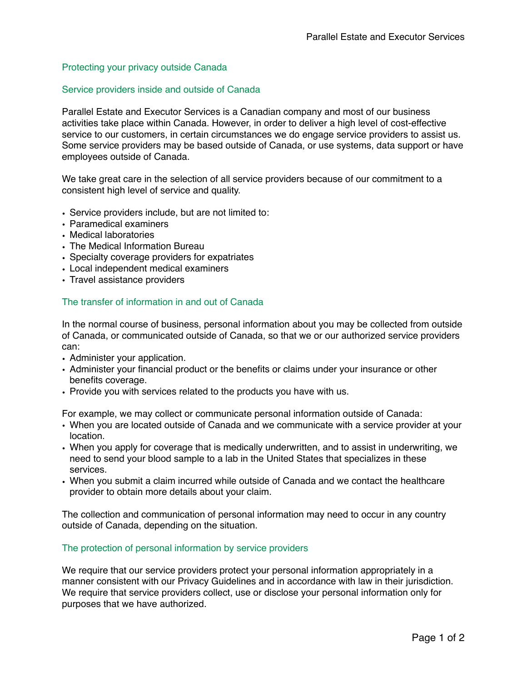# Protecting your privacy outside Canada

### Service providers inside and outside of Canada

Parallel Estate and Executor Services is a Canadian company and most of our business activities take place within Canada. However, in order to deliver a high level of cost-effective service to our customers, in certain circumstances we do engage service providers to assist us. Some service providers may be based outside of Canada, or use systems, data support or have employees outside of Canada.

We take great care in the selection of all service providers because of our commitment to a consistent high level of service and quality.

- Service providers include, but are not limited to:
- Paramedical examiners
- Medical laboratories
- The Medical Information Bureau
- Specialty coverage providers for expatriates
- Local independent medical examiners
- Travel assistance providers

#### The transfer of information in and out of Canada

In the normal course of business, personal information about you may be collected from outside of Canada, or communicated outside of Canada, so that we or our authorized service providers can:

- Administer your application.
- Administer your financial product or the benefits or claims under your insurance or other benefits coverage.
- Provide you with services related to the products you have with us.

For example, we may collect or communicate personal information outside of Canada:

- When you are located outside of Canada and we communicate with a service provider at your location.
- When you apply for coverage that is medically underwritten, and to assist in underwriting, we need to send your blood sample to a lab in the United States that specializes in these services.
- When you submit a claim incurred while outside of Canada and we contact the healthcare provider to obtain more details about your claim.

The collection and communication of personal information may need to occur in any country outside of Canada, depending on the situation.

## The protection of personal information by service providers

We require that our service providers protect your personal information appropriately in a manner consistent with our Privacy Guidelines and in accordance with law in their jurisdiction. We require that service providers collect, use or disclose your personal information only for purposes that we have authorized.